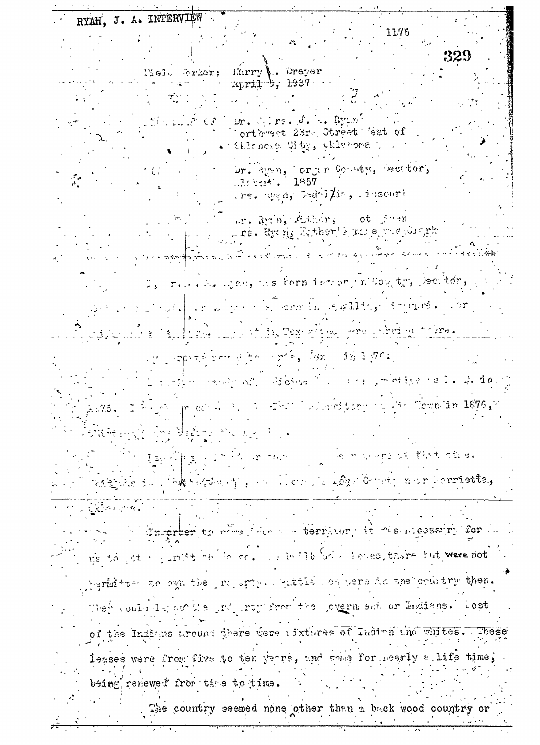RYAH, J. A. INTERVIEW

1176

Melu Srkor: Harry' Drever April 5, 1937

 $\mathbb{R}_+$  Ryc $n$  .  $\mathcal{L}$ ira. J. ur. orthweet 23rd Street West of (Chloroup Gity, Chlysoma) br. ayen, lorger County, becator,

> 1857  $\mathcal{M}$  and  $\mathcal{M}$  and  $\mathcal{M}$ rs. Sygn, Gedfi $\sharp$ is, Ibscuri

ur. Rubi, Althor; et freu uré. Kro<u>h,</u> Zibber' é uni e voe 101 qrk

week, we have is to meen the Cow the Decitor ്ര സൂഹാർ sochtia se galdts eziga sera Arriga telmo.

 $\sim$ npinsk verske finder nins og døm og då de $\mathcal{P}^{\mathcal{C}}$ k, *-Thill algenitory is Mr. Townlin 1876,7* r ci' ma Bafone Pic Ad

向 化气心检查法 电银杏 可致母的 こうきょう オールト ner Forriette, ્રિય માઈજૂટી © tike du 11788 hofthosh型 g → n 1  $CRD$  ,  $CR$  ,  $\overline{R}$ 

dnigrber to when the see terrhoor, it mesuccessive for we to get a gardt to co. I will be a longe, there but were not

Agrist teen ac even the report within equension the country then. They could let as the ground from the lovern ent or Endians. Lost of the Indians around there were ifxtures of Indian tho whites. These

leases were from five to ten years, and some for mearly atlife time. being renewed from time to time.

The country seemed none other than a back wood country or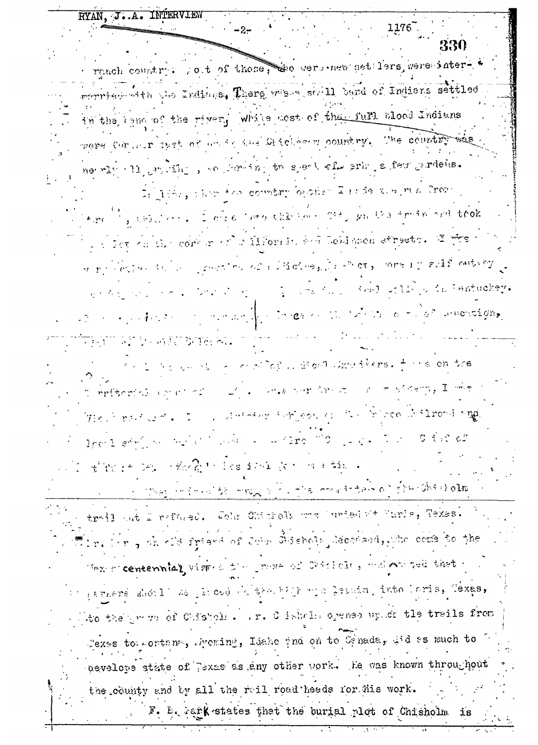RYAN, J.A. INTERVIEW  $-2-$ 330 reach country. So t of those, the were new set lers, were intermerriam with the Indians. There westere shall band of Indians settled in the tend of the river, while acst of the full blood Indians were for our user of an ig the Chicken country. The country ne rightlighting, we have in speak of erh . s few prodeis. Li liche, chom the country because Lates the ma Crope If, which is fore the the second structs trained that  $^4$ .ro which are the sole of the state of the second of the second street of the where  $\epsilon$  is the subset of  $\epsilon$  and  $\epsilon$  is the computation of  $\epsilon$  , where  $\epsilon$ me the seed of the famous con- $\mathbf{a} \in \mathbb{R}^{n \times n}$  .  $\{f_1, f_2, \ldots, f_n\}$  and  $\{f_1, f_2, f_3, f_4, \ldots, f_n\}$  ,  $\{f_2, f_3, f_4, \ldots, f_n\}$ **REAL AND AND BEENAL** and no arrival a constitution increasers. I we on the  $\mathbb{R}^{n}$  of the first contract of  $\mathbb{R}^{n}$  in  $\mathbb{R}^{n}$  is defined as  $\mathbb{R}^{n}$  in  $\mathbb{R}^{n}$ ກກະຊິກຄວາມເພີ່ມ ເປີດ ກໍ່ມີ ຕໍ່ມີ ແລະ The limit of  $\epsilon$  ,  $z = 1$  , similarly influent on  $z < \infty$  in additional single level show the project with  $\sim$   $\sim$  12re 7.0  $\sim$   $\sim$   $\sim$  7  $\sim$  0.0 is: of the second complete the division of a time a strong information when a constant and of free and almost trail ant I refused. Com Chickens was unted at Marie, Texas. In. For , ak old friend of John Shiebols Mecchaed, who come to the Maxis centennial visits the power of Chistolic, and an ted that perners should be given by the high mis leads, into laris, Texas, to the prove of Chistole. In. C ishelm opened up of the trails from Pexas torrortens, Avening, Idaho phd on to Canada, And as much to nevelors state of Texas as any other work. He was known throughout the county and by all the reil road heads for his work. F. E. rank states that the burial plot of Chisholm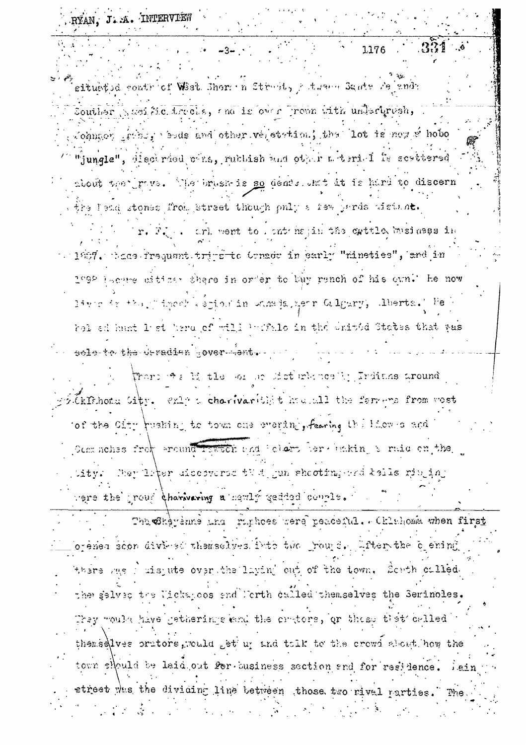RYAN, J.A. INTERVIEW

1176

situated contrict West Shere n Struct, het same Santa Feinan

Souther Austric. Lrecis, and is over Trown with undertrush, , Johnson prible, bels and other verstated, the lot is now so hobe "jungle", discirded cins, rubbish and other miterial is scattered about the prive. The brush is so dence ont it is hard to discern

the lead stones from street though only a few pards distant. r. F. .. ark went to , ant hapin the cattle business in

 $\sim 1$ 257. Ages frequent tri-site Consoc in early "nineties", and in 1°92 lecare eiticar there in order to buy rench of his own.' He now live is the primach espine in standagement Galgary, Aberta. Febel ad hunt lest here of will benefalo in the United States that yas

sele-te-the-deradien sover-sent. ...

There we bi the some distinkines in Irdians around Ekfehond Sity. enly a charivarite in a all the ferrous from wost of the City pushing to town one evering, fearing the Hier is and Commehes from around Isween and Webstart Barthaking & raid on the tity: They liter discoverse that jun shooting-ord hells ringing were the proud charavering a naming gedded courle.

The other and man ruphoes were peaceful. Chinkoma when first ovenen soon divi-so themselves into the round. Liter the clening there age ; ais ute over the layin' out of the town. South called the selved the Nickanoes and North called themselves the Serinoles. They would have getherings and the crutors, or those tiet called themselves prutors, rould get up and talk to the crowd about how the town should be laid out for business section and for residence. street was the dividing line between those two rivel parties.